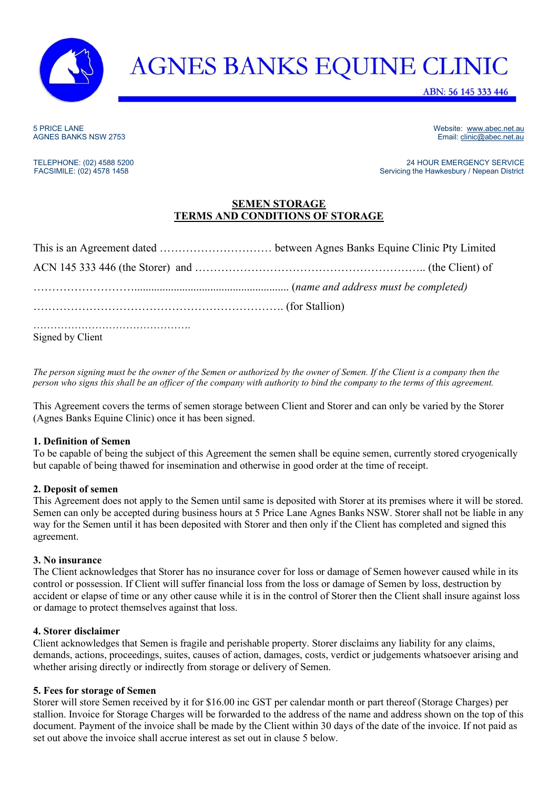

# **AGNES BANKS EQUINE CLINIC**

ABN: 56 145 333 446

5 PRICE LANE WEbsite: [www.abec.net.au](http://www.abec.net.au/) <br>
SANES BANKS NSW 2753 AGNES AND THE SERVICE OF A SANTO THE SERVICE OF A SANTO THE SERVICE OF A SANTO THE SANTO<br>
SANTO THE SANES BANKS NSW 2753 AGNES BANKS NSW 2753

TELEPHONE: (02) 4588 5200<br>
FACSIMILE: (02) 4578 1458 200<br>
FACSIMILE: (02) 4578 1458 Servicing the Hawkesbury / Nepean District

## **SEMEN STORAGE TERMS AND CONDITIONS OF STORAGE**

| (name and address must be completed) |  |
|--------------------------------------|--|
|                                      |  |
| Signed by Client                     |  |

*The person signing must be the owner of the Semen or authorized by the owner of Semen. If the Client is a company then the person who signs this shall be an officer of the company with authority to bind the company to the terms of this agreement.* 

This Agreement covers the terms of semen storage between Client and Storer and can only be varied by the Storer (Agnes Banks Equine Clinic) once it has been signed.

### **1. Definition of Semen**

To be capable of being the subject of this Agreement the semen shall be equine semen, currently stored cryogenically but capable of being thawed for insemination and otherwise in good order at the time of receipt.

### **2. Deposit of semen**

This Agreement does not apply to the Semen until same is deposited with Storer at its premises where it will be stored. Semen can only be accepted during business hours at 5 Price Lane Agnes Banks NSW. Storer shall not be liable in any way for the Semen until it has been deposited with Storer and then only if the Client has completed and signed this agreement.

### **3. No insurance**

The Client acknowledges that Storer has no insurance cover for loss or damage of Semen however caused while in its control or possession. If Client will suffer financial loss from the loss or damage of Semen by loss, destruction by accident or elapse of time or any other cause while it is in the control of Storer then the Client shall insure against loss or damage to protect themselves against that loss.

### **4. Storer disclaimer**

Client acknowledges that Semen is fragile and perishable property. Storer disclaims any liability for any claims, demands, actions, proceedings, suites, causes of action, damages, costs, verdict or judgements whatsoever arising and whether arising directly or indirectly from storage or delivery of Semen.

### **5. Fees for storage of Semen**

Storer will store Semen received by it for \$16.00 inc GST per calendar month or part thereof (Storage Charges) per stallion. Invoice for Storage Charges will be forwarded to the address of the name and address shown on the top of this document. Payment of the invoice shall be made by the Client within 30 days of the date of the invoice. If not paid as set out above the invoice shall accrue interest as set out in clause 5 below.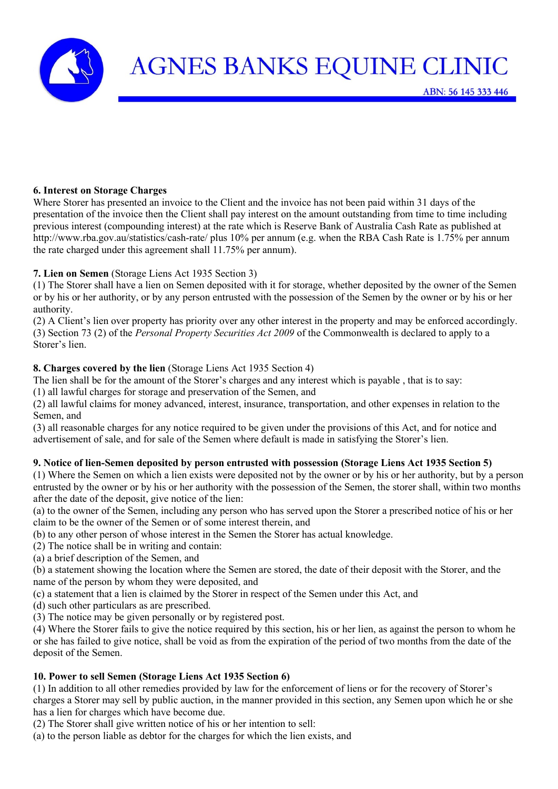

### **6. Interest on Storage Charges**

Where Storer has presented an invoice to the Client and the invoice has not been paid within 31 days of the presentation of the invoice then the Client shall pay interest on the amount outstanding from time to time including previous interest (compounding interest) at the rate which is Reserve Bank of Australia Cash Rate as published at http://www.rba.gov.au/statistics/cash-rate/ plus 10% per annum (e.g. when the RBA Cash Rate is 1.75% per annum the rate charged under this agreement shall 11.75% per annum).

## **7. Lien on Semen** (Storage Liens Act 1935 Section 3)

(1) The Storer shall have a lien on Semen deposited with it for storage, whether deposited by the owner of the Semen or by his or her authority, or by any person entrusted with the possession of the Semen by the owner or by his or her authority.

(2) A Client's lien over property has priority over any other interest in the property and may be enforced accordingly. (3) Section 73 (2) of the *Personal Property Securities Act 2009* of the Commonwealth is declared to apply to a Storer's lien.

## **8. Charges covered by the lien** (Storage Liens Act 1935 Section 4)

The lien shall be for the amount of the Storer's charges and any interest which is payable , that is to say:

(1) all lawful charges for storage and preservation of the Semen, and

(2) all lawful claims for money advanced, interest, insurance, transportation, and other expenses in relation to the Semen, and

(3) all reasonable charges for any notice required to be given under the provisions of this Act, and for notice and advertisement of sale, and for sale of the Semen where default is made in satisfying the Storer's lien.

## **9. Notice of lien-Semen deposited by person entrusted with possession (Storage Liens Act 1935 Section 5)**

(1) Where the Semen on which a lien exists were deposited not by the owner or by his or her authority, but by a person entrusted by the owner or by his or her authority with the possession of the Semen, the storer shall, within two months after the date of the deposit, give notice of the lien:

(a) to the owner of the Semen, including any person who has served upon the Storer a prescribed notice of his or her claim to be the owner of the Semen or of some interest therein, and

(b) to any other person of whose interest in the Semen the Storer has actual knowledge.

(2) The notice shall be in writing and contain:

(a) a brief description of the Semen, and

(b) a statement showing the location where the Semen are stored, the date of their deposit with the Storer, and the name of the person by whom they were deposited, and

(c) a statement that a lien is claimed by the Storer in respect of the Semen under this Act, and

(d) such other particulars as are prescribed.

(3) The notice may be given personally or by registered post.

(4) Where the Storer fails to give the notice required by this section, his or her lien, as against the person to whom he or she has failed to give notice, shall be void as from the expiration of the period of two months from the date of the deposit of the Semen.

## **10. Power to sell Semen (Storage Liens Act 1935 Section 6)**

(1) In addition to all other remedies provided by law for the enforcement of liens or for the recovery of Storer's charges a Storer may sell by public auction, in the manner provided in this section, any Semen upon which he or she has a lien for charges which have become due.

(2) The Storer shall give written notice of his or her intention to sell:

(a) to the person liable as debtor for the charges for which the lien exists, and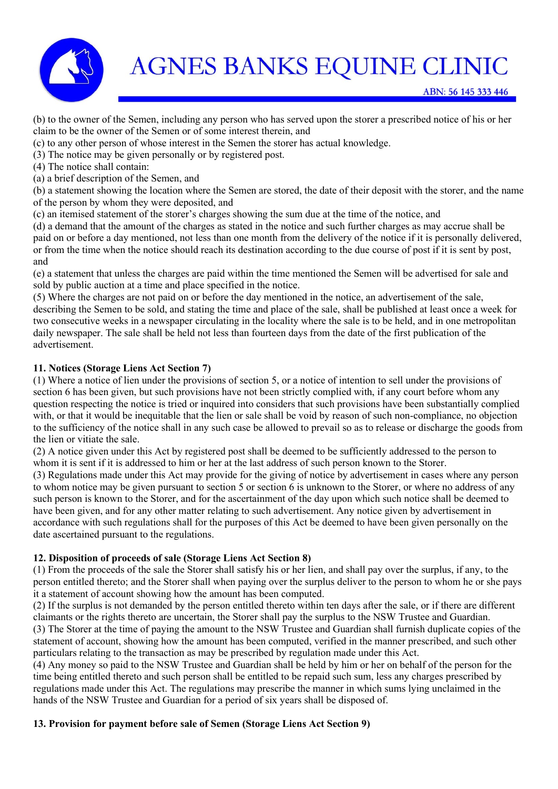

(b) to the owner of the Semen, including any person who has served upon the storer a prescribed notice of his or her claim to be the owner of the Semen or of some interest therein, and

(c) to any other person of whose interest in the Semen the storer has actual knowledge.

(3) The notice may be given personally or by registered post.

(4) The notice shall contain:

(a) a brief description of the Semen, and

(b) a statement showing the location where the Semen are stored, the date of their deposit with the storer, and the name of the person by whom they were deposited, and

(c) an itemised statement of the storer's charges showing the sum due at the time of the notice, and

(d) a demand that the amount of the charges as stated in the notice and such further charges as may accrue shall be paid on or before a day mentioned, not less than one month from the delivery of the notice if it is personally delivered, or from the time when the notice should reach its destination according to the due course of post if it is sent by post, and

(e) a statement that unless the charges are paid within the time mentioned the Semen will be advertised for sale and sold by public auction at a time and place specified in the notice.

(5) Where the charges are not paid on or before the day mentioned in the notice, an advertisement of the sale, describing the Semen to be sold, and stating the time and place of the sale, shall be published at least once a week for two consecutive weeks in a newspaper circulating in the locality where the sale is to be held, and in one metropolitan daily newspaper. The sale shall be held not less than fourteen days from the date of the first publication of the advertisement.

## **11. Notices (Storage Liens Act Section 7)**

(1) Where a notice of lien under the provisions of section 5, or a notice of intention to sell under the provisions of section 6 has been given, but such provisions have not been strictly complied with, if any court before whom any question respecting the notice is tried or inquired into considers that such provisions have been substantially complied with, or that it would be inequitable that the lien or sale shall be void by reason of such non-compliance, no objection to the sufficiency of the notice shall in any such case be allowed to prevail so as to release or discharge the goods from the lien or vitiate the sale.

(2) A notice given under this Act by registered post shall be deemed to be sufficiently addressed to the person to whom it is sent if it is addressed to him or her at the last address of such person known to the Storer.

(3) Regulations made under this Act may provide for the giving of notice by advertisement in cases where any person to whom notice may be given pursuant to section 5 or section 6 is unknown to the Storer, or where no address of any such person is known to the Storer, and for the ascertainment of the day upon which such notice shall be deemed to have been given, and for any other matter relating to such advertisement. Any notice given by advertisement in accordance with such regulations shall for the purposes of this Act be deemed to have been given personally on the date ascertained pursuant to the regulations.

### **12. Disposition of proceeds of sale (Storage Liens Act Section 8)**

(1) From the proceeds of the sale the Storer shall satisfy his or her lien, and shall pay over the surplus, if any, to the person entitled thereto; and the Storer shall when paying over the surplus deliver to the person to whom he or she pays it a statement of account showing how the amount has been computed.

(2) If the surplus is not demanded by the person entitled thereto within ten days after the sale, or if there are different claimants or the rights thereto are uncertain, the Storer shall pay the surplus to the NSW Trustee and Guardian. (3) The Storer at the time of paying the amount to the NSW Trustee and Guardian shall furnish duplicate copies of the statement of account, showing how the amount has been computed, verified in the manner prescribed, and such other particulars relating to the transaction as may be prescribed by regulation made under this Act.

(4) Any money so paid to the NSW Trustee and Guardian shall be held by him or her on behalf of the person for the time being entitled thereto and such person shall be entitled to be repaid such sum, less any charges prescribed by regulations made under this Act. The regulations may prescribe the manner in which sums lying unclaimed in the hands of the NSW Trustee and Guardian for a period of six years shall be disposed of.

### **13. Provision for payment before sale of Semen (Storage Liens Act Section 9)**